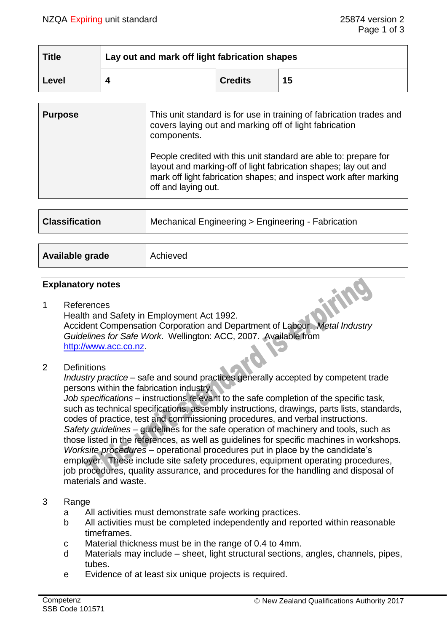| <b>Title</b> | Lay out and mark off light fabrication shapes |                |    |
|--------------|-----------------------------------------------|----------------|----|
| Level        |                                               | <b>Credits</b> | 15 |

| <b>Purpose</b> | This unit standard is for use in training of fabrication trades and<br>covers laying out and marking off of light fabrication<br>components.                                                                                    |
|----------------|---------------------------------------------------------------------------------------------------------------------------------------------------------------------------------------------------------------------------------|
|                | People credited with this unit standard are able to: prepare for<br>layout and marking-off of light fabrication shapes; lay out and<br>mark off light fabrication shapes; and inspect work after marking<br>off and laying out. |
|                |                                                                                                                                                                                                                                 |
|                |                                                                                                                                                                                                                                 |

| <b>Classification</b> | Mechanical Engineering > Engineering - Fabrication |  |
|-----------------------|----------------------------------------------------|--|
|                       |                                                    |  |
| Available grade       | Achieved                                           |  |

### **Explanatory notes**

- 1 References Health and Safety in Employment Act 1992. Accident Compensation Corporation and Department of Labour. *Metal Industry Guidelines for Safe Work*. Wellington: ACC, 2007. Available from [http://www.acc.co.nz.](http://www.acc.co.nz/)
- 2 Definitions

*Industry practice* – safe and sound practices generally accepted by competent trade persons within the fabrication industry.

*Job specifications* – instructions relevant to the safe completion of the specific task, such as technical specifications, assembly instructions, drawings, parts lists, standards, codes of practice, test and commissioning procedures, and verbal instructions. *Safety guidelines* – guidelines for the safe operation of machinery and tools, such as those listed in the references, as well as guidelines for specific machines in workshops. *Worksite procedures* – operational procedures put in place by the candidate's employer. These include site safety procedures, equipment operating procedures, job procedures, quality assurance, and procedures for the handling and disposal of materials and waste.

- 3 Range
	- a All activities must demonstrate safe working practices.
	- b All activities must be completed independently and reported within reasonable timeframes.
	- c Material thickness must be in the range of 0.4 to 4mm.
	- d Materials may include sheet, light structural sections, angles, channels, pipes, tubes.
	- e Evidence of at least six unique projects is required.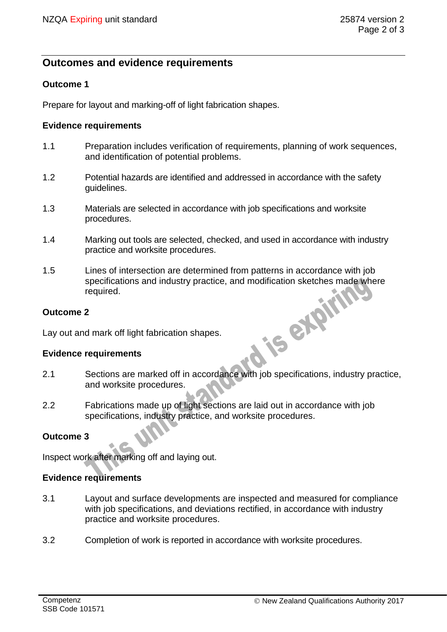# **Outcomes and evidence requirements**

# **Outcome 1**

Prepare for layout and marking-off of light fabrication shapes.

### **Evidence requirements**

- 1.1 Preparation includes verification of requirements, planning of work sequences, and identification of potential problems.
- 1.2 Potential hazards are identified and addressed in accordance with the safety guidelines.
- 1.3 Materials are selected in accordance with job specifications and worksite procedures.
- 1.4 Marking out tools are selected, checked, and used in accordance with industry practice and worksite procedures.
- 1.5 Lines of intersection are determined from patterns in accordance with job specifications and industry practice, and modification sketches made where<br>required.<br>2<br>d mark off light fabrication shapes.<br>requirements required.

### **Outcome 2**

Lay out and mark off light fabrication shapes.

#### **Evidence requirements**

- 2.1 Sections are marked off in accordance with job specifications, industry practice, and worksite procedures.
- 2.2 Fabrications made up of light sections are laid out in accordance with job specifications, industry practice, and worksite procedures.

# **Outcome 3**

Inspect work after marking off and laying out.

#### **Evidence requirements**

- 3.1 Layout and surface developments are inspected and measured for compliance with job specifications, and deviations rectified, in accordance with industry practice and worksite procedures.
- 3.2 Completion of work is reported in accordance with worksite procedures.